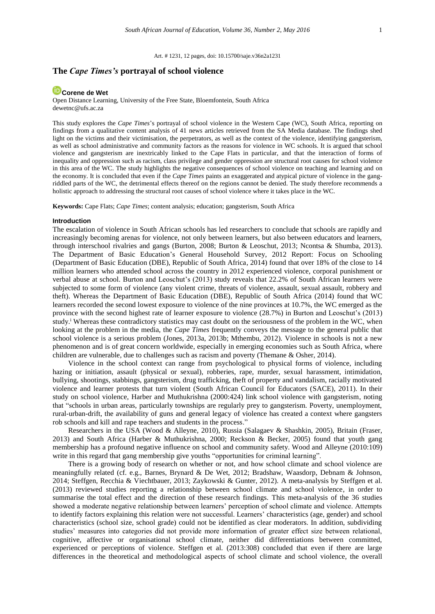Art. # 1231, 12 pages, doi: 10.15700/saje.v36n2a1231

# **The** *Cape Times's* **portrayal of school violence**

# **[Corene de Wet](http://orcid.org/0000-0002-5208-2963)**

Open Distance Learning, University of the Free State, Bloemfontein, South Africa dewetnc@ufs.ac.za

This study explores the *Cape Times*'s portrayal of school violence in the Western Cape (WC), South Africa, reporting on findings from a qualitative content analysis of 41 news articles retrieved from the SA Media database. The findings shed light on the victims and their victimisation, the perpetrators, as well as the context of the violence, identifying gangsterism, as well as school administrative and community factors as the reasons for violence in WC schools. It is argued that school violence and gangsterism are inextricably linked to the Cape Flats in particular, and that the interaction of forms of inequality and oppression such as racism, class privilege and gender oppression are structural root causes for school violence in this area of the WC. The study highlights the negative consequences of school violence on teaching and learning and on the economy. It is concluded that even if the *Cape Times* paints an exaggerated and atypical picture of violence in the gangriddled parts of the WC, the detrimental effects thereof on the regions cannot be denied. The study therefore recommends a holistic approach to addressing the structural root causes of school violence where it takes place in the WC.

**Keywords:** Cape Flats; *Cape Times*; content analysis; education; gangsterism, South Africa

### **Introduction**

The escalation of violence in South African schools has led researchers to conclude that schools are rapidly and increasingly becoming arenas for violence, not only between learners, but also between educators and learners, through interschool rivalries and gangs (Burton, 2008; Burton & Leoschut, 2013; Ncontsa & Shumba, 2013). The Department of Basic Education's General Household Survey, 2012 Report: Focus on Schooling (Department of Basic Education (DBE), Republic of South Africa, 2014) found that over 18% of the close to 14 million learners who attended school across the country in 2012 experienced violence, corporal punishment or verbal abuse at school. Burton and Leoschut's (2013) study reveals that 22.2% of South African learners were subjected to some form of violence (any violent crime, threats of violence, assault, sexual assault, robbery and theft). Whereas the Department of Basic Education (DBE), Republic of South Africa (2014) found that WC learners recorded the second lowest exposure to violence of the nine provinces at 10.7%, the WC emerged as the province with the second highest rate of learner exposure to violence (28.7%) in Burton and Leoschut's (2013) study.<sup>i</sup> Whereas these contradictory statistics may cast doubt on the seriousness of the problem in the WC, when looking at the problem in the media, the *Cape Times* frequently conveys the message to the general public that school violence is a serious problem (Jones, 2013a, 2013b; Mthembu, 2012). Violence in schools is not a new phenomenon and is of great concern worldwide, especially in emerging economies such as South Africa, where children are vulnerable, due to challenges such as racism and poverty (Themane & Osher, 2014).

Violence in the school context can range from psychological to physical forms of violence, including hazing or initiation, assault (physical or sexual), robberies, rape, murder, sexual harassment, intimidation, bullying, shootings, stabbings, gangsterism, drug trafficking, theft of property and vandalism, racially motivated violence and learner protests that turn violent (South African Council for Educators (SACE), 2011). In their study on school violence, Harber and Muthukrishna (2000:424) link school violence with gangsterism, noting that "schools in urban areas, particularly townships are regularly prey to gangsterism. Poverty, unemployment, rural-urban-drift, the availability of guns and general legacy of violence has created a context where gangsters rob schools and kill and rape teachers and students in the process."

Researchers in the USA (Wood & Alleyne, 2010), Russia (Salagaev & Shashkin, 2005), Britain (Fraser, 2013) and South Africa (Harber & Muthukrishna, 2000; Reckson & Becker, 2005) found that youth gang membership has a profound negative influence on school and community safety. Wood and Alleyne (2010:109) write in this regard that gang membership give youths "opportunities for criminal learning".

There is a growing body of research on whether or not, and how school climate and school violence are meaningfully related (cf. e.g., Barnes, Brynard & De Wet, 2012; Bradshaw, Waasdorp, Debnam & Johnson, 2014; Steffgen, Recchia & Viechtbauer, 2013; Zaykowski & Gunter, 2012). A meta-analysis by Steffgen et al. (2013) reviewed studies reporting a relationship between school climate and school violence, in order to summarise the total effect and the direction of these research findings. This meta-analysis of the 36 studies showed a moderate negative relationship between learners' perception of school climate and violence. Attempts to identify factors explaining this relation were not successful. Learners' characteristics (age, gender) and school characteristics (school size, school grade) could not be identified as clear moderators. In addition, subdividing studies' measures into categories did not provide more information of greater effect size between relational, cognitive, affective or organisational school climate, neither did differentiations between committed, experienced or perceptions of violence. Steffgen et al. (2013:308) concluded that even if there are large differences in the theoretical and methodological aspects of school climate and school violence, the overall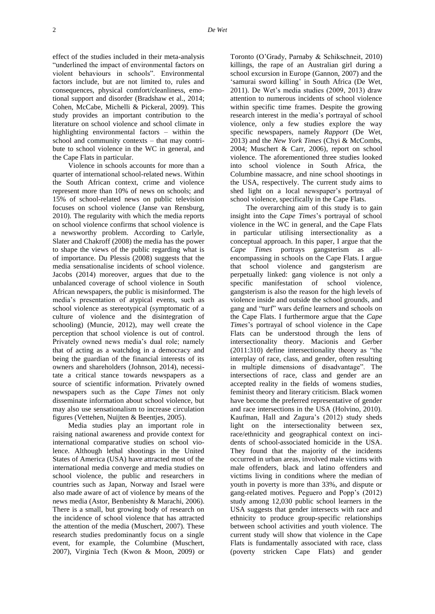effect of the studies included in their meta-analysis "underlined the impact of environmental factors on violent behaviours in schools". Environmental factors include, but are not limited to, rules and consequences, physical comfort/cleanliness, emotional support and disorder (Bradshaw et al., 2014; Cohen, McCabe, Michelli & Pickeral, 2009). This study provides an important contribution to the literature on school violence and school climate in highlighting environmental factors – within the school and community contexts – that may contribute to school violence in the WC in general, and the Cape Flats in particular.

Violence in schools accounts for more than a quarter of international school-related news. Within the South African context, crime and violence represent more than 10% of news on schools; and 15% of school-related news on public television focuses on school violence (Janse van Rensburg, 2010). The regularity with which the media reports on school violence confirms that school violence is a newsworthy problem. According to Carlyle, Slater and Chakroff (2008) the media has the power to shape the views of the public regarding what is of importance. Du Plessis (2008) suggests that the media sensationalise incidents of school violence. Jacobs (2014) moreover, argues that due to the unbalanced coverage of school violence in South African newspapers, the public is misinformed. The media's presentation of atypical events, such as school violence as stereotypical (symptomatic of a culture of violence and the disintegration of schooling) (Muncie, 2012), may well create the perception that school violence is out of control. Privately owned news media's dual role; namely that of acting as a watchdog in a democracy and being the guardian of the financial interests of its owners and shareholders (Johnson, 2014), necessitate a critical stance towards newspapers as a source of scientific information. Privately owned newspapers such as the *Cape Times* not only disseminate information about school violence, but may also use sensationalism to increase circulation figures (Vettehen, Nuijten & Beentjes, 2005).

Media studies play an important role in raising national awareness and provide context for international comparative studies on school violence. Although lethal shootings in the United States of America (USA) have attracted most of the international media converge and media studies on school violence, the public and researchers in countries such as Japan, Norway and Israel were also made aware of act of violence by means of the news media (Astor, Benbenishty & Marachi, 2006). There is a small, but growing body of research on the incidence of school violence that has attracted the attention of the media (Muschert, 2007). These research studies predominantly focus on a single event, for example, the Columbine (Muschert, 2007), Virginia Tech (Kwon & Moon, 2009) or

Toronto (O'Grady, Parnaby & Schikschneit, 2010) killings, the rape of an Australian girl during a school excursion in Europe (Gannon, 2007) and the 'samurai sword killing' in South Africa (De Wet, 2011). De Wet's media studies (2009, 2013) draw attention to numerous incidents of school violence within specific time frames. Despite the growing research interest in the media's portrayal of school violence, only a few studies explore the way specific newspapers, namely *Rapport* (De Wet, 2013) and the *New York Times* (Chyi & McCombs, 2004; Muschert & Carr, 2006), report on school violence. The aforementioned three studies looked into school violence in South Africa, the Columbine massacre, and nine school shootings in the USA, respectively. The current study aims to shed light on a local newspaper's portrayal of school violence, specifically in the Cape Flats.

The overarching aim of this study is to gain insight into the *Cape Times*'s portrayal of school violence in the WC in general, and the Cape Flats in particular utilising intersectionality as a conceptual approach. In this paper, I argue that the *Cape Times* portrays gangsterism as allencompassing in schools on the Cape Flats. I argue that school violence and gangsterism are perpetually linked: gang violence is not only a specific manifestation of school violence, gangsterism is also the reason for the high levels of violence inside and outside the school grounds, and gang and "turf" wars define learners and schools on the Cape Flats. I furthermore argue that the *Cape Times*'s portrayal of school violence in the Cape Flats can be understood through the lens of intersectionality theory. Macionis and Gerber (2011:310) define intersectionality theory as "the interplay of race, class, and gender, often resulting in multiple dimensions of disadvantage". The intersections of race, class and gender are an accepted reality in the fields of womens studies, feminist theory and literary criticism. Black women have become the preferred representative of gender and race intersections in the USA (Holvino, 2010). Kaufman, Hall and Zagura's (2012) study sheds light on the intersectionality between sex, race/ethnicity and geographical context on incidents of school-associated homicide in the USA. They found that the majority of the incidents occurred in urban areas, involved male victims with male offenders, black and latino offenders and victims living in conditions where the median of youth in poverty is more than 33%, and dispute or gang-related motives. Peguero and Popp's (2012) study among 12,030 public school learners in the USA suggests that gender intersects with race and ethnicity to produce group-specific relationships between school activities and youth violence. The current study will show that violence in the Cape Flats is fundamentally associated with race, class (poverty stricken Cape Flats) and gender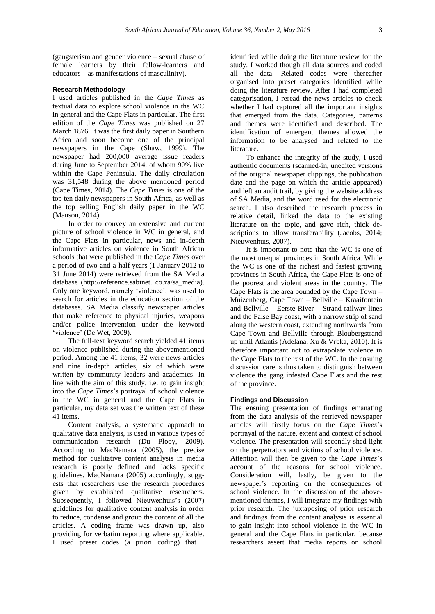(gangsterism and gender violence – sexual abuse of female learners by their fellow-learners and educators – as manifestations of masculinity).

### **Research Methodology**

I used articles published in the *Cape Times* as textual data to explore school violence in the WC in general and the Cape Flats in particular. The first edition of the *Cape Times* was published on 27 March 1876. It was the first daily paper in Southern Africa and soon become one of the principal newspapers in the Cape (Shaw, 1999). The newspaper had 200,000 average issue readers during June to September 2014, of whom 90% live within the Cape Peninsula. The daily circulation was 31,548 during the above mentioned period (Cape Times, 2014). The *Cape Times* is one of the top ten daily newspapers in South Africa, as well as the top selling English daily paper in the WC (Manson, 2014).

In order to convey an extensive and current picture of school violence in WC in general, and the Cape Flats in particular, news and in-depth informative articles on violence in South African schools that were published in the *Cape Times* over a period of two-and-a-half years (1 January 2012 to 31 June 2014) were retrieved from the SA Media database [\(http://reference.sabinet.](http://reference.sabinet.co.za/sa_media) co.za/sa\_media). Only one keyword, namely 'violence', was used to search for articles in the education section of the databases. SA Media classify newspaper articles that make reference to physical injuries, weapons and/or police intervention under the keyword 'violence' (De Wet, 2009).

The full-text keyword search yielded 41 items on violence published during the abovementioned period. Among the 41 items, 32 were news articles and nine in-depth articles, six of which were written by community leaders and academics. In line with the aim of this study, i.e. to gain insight into the *Cape Times*'s portrayal of school violence in the WC in general and the Cape Flats in particular, my data set was the written text of these 41 items.

Content analysis, a systematic approach to qualitative data analysis, is used in various types of communication research (Du Plooy, 2009). According to MacNamara (2005), the precise method for qualitative content analysis in media research is poorly defined and lacks specific guidelines. MacNamara (2005) accordingly, suggests that researchers use the research procedures given by established qualitative researchers. Subsequently, I followed Nieuwenhuis's (2007) guidelines for qualitative content analysis in order to reduce, condense and group the content of all the articles. A coding frame was drawn up, also providing for verbatim reporting where applicable. I used preset codes (a priori coding) that I

identified while doing the literature review for the study. I worked though all data sources and coded all the data. Related codes were thereafter organised into preset categories identified while doing the literature review. After I had completed categorisation, I reread the news articles to check whether I had captured all the important insights that emerged from the data. Categories, patterns and themes were identified and described. The identification of emergent themes allowed the information to be analysed and related to the literature.

To enhance the integrity of the study, I used authentic documents (scanned-in, unedited versions of the original newspaper clippings, the publication date and the page on which the article appeared) and left an audit trail, by giving the website address of SA Media, and the word used for the electronic search. I also described the research process in relative detail, linked the data to the existing literature on the topic, and gave rich, thick descriptions to allow transferability (Jacobs, 2014; Nieuwenhuis, 2007).

It is important to note that the WC is one of the most unequal provinces in South Africa. While the WC is one of the richest and fastest growing provinces in South Africa, the Cape Flats is one of the poorest and violent areas in the country. The Cape Flats is the area bounded by the Cape Town – Muizenberg, Cape Town – Bellville – Kraaifontein and Bellville – Eerste River – Strand railway lines and the False Bay coast, with a narrow strip of sand along the western coast, extending northwards from Cape Town and Bellville through Bloubergstrand up until Atlantis (Adelana, Xu & Vrbka, 2010). It is therefore important not to extrapolate violence in the Cape Flats to the rest of the WC. In the ensuing discussion care is thus taken to distinguish between violence the gang infested Cape Flats and the rest of the province.

#### **Findings and Discussion**

The ensuing presentation of findings emanating from the data analysis of the retrieved newspaper articles will firstly focus on the *Cape Times*'s portrayal of the nature, extent and context of school violence. The presentation will secondly shed light on the perpetrators and victims of school violence. Attention will then be given to the *Cape Times*'s account of the reasons for school violence. Consideration will, lastly, be given to the newspaper's reporting on the consequences of school violence. In the discussion of the abovementioned themes, I will integrate my findings with prior research. The juxtaposing of prior research and findings from the content analysis is essential to gain insight into school violence in the WC in general and the Cape Flats in particular, because researchers assert that media reports on school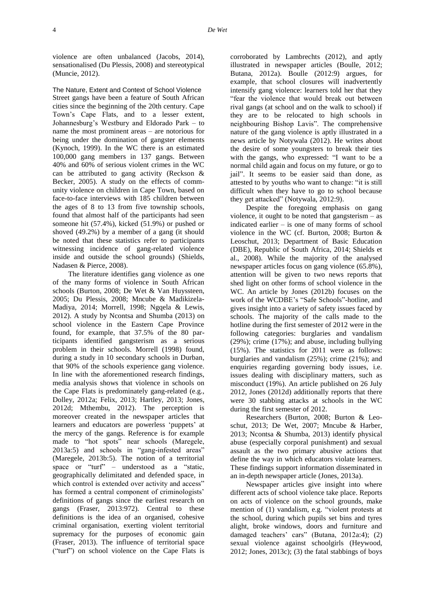violence are often unbalanced (Jacobs, 2014), sensationalised (Du Plessis, 2008) and stereotypical (Muncie, 2012).

The Nature, Extent and Context of School Violence Street gangs have been a feature of South African cities since the beginning of the 20th century. Cape Town's Cape Flats, and to a lesser extent, Johannesburg's Westbury and Eldorado Park – to name the most prominent areas – are notorious for being under the domination of gangster elements (Kynoch, 1999). In the WC there is an estimated 100,000 gang members in 137 gangs. Between 40% and 60% of serious violent crimes in the WC can be attributed to gang activity (Reckson & Becker, 2005). A study on the effects of community violence on children in Cape Town, based on face-to-face interviews with 185 children between the ages of 8 to 13 from five township schools, found that almost half of the participants had seen someone hit (57.4%), kicked (51.9%) or pushed or shoved (49.2%) by a member of a gang (it should be noted that these statistics refer to participants witnessing incidence of gang-related violence inside and outside the school grounds) (Shields, Nadasen & Pierce, 2008).

The literature identifies gang violence as one of the many forms of violence in South African schools (Burton, 2008; De Wet & Van Huyssteen, 2005; Du Plessis, 2008; Mncube & Madikizela-Madiya, 2014; Morrell, 1998; Ngqela & Lewis, 2012). A study by Ncontsa and Shumba (2013) on school violence in the Eastern Cape Province found, for example, that 37.5% of the 80 participants identified gangsterism as a serious problem in their schools. Morrell (1998) found, during a study in 10 secondary schools in Durban, that 90% of the schools experience gang violence. In line with the aforementioned research findings, media analysis shows that violence in schools on the Cape Flats is predominately gang-related (e.g., Dolley, 2012a; Felix, 2013; Hartley, 2013; Jones, 2012d; Mthembu, 2012). The perception is moreover created in the newspaper articles that learners and educators are powerless 'puppets' at the mercy of the gangs. Reference is for example made to "hot spots" near schools (Maregele, 2013a:5) and schools in "gang-infested areas" (Maregele, 2013b:5). The notion of a territorial space or "turf" – understood as a "static, geographically delimitated and defended space, in which control is extended over activity and access" has formed a central component of criminologists' definitions of gangs since the earliest research on gangs (Fraser, 2013:972). Central to these definitions is the idea of an organised, cohesive criminal organisation, exerting violent territorial supremacy for the purposes of economic gain (Fraser, 2013). The influence of territorial space ("turf") on school violence on the Cape Flats is

corroborated by Lambrechts (2012), and aptly illustrated in newspaper articles (Boulle, 2012; Butana, 2012a). Boulle (2012:9) argues, for example, that school closures will inadvertently intensify gang violence: learners told her that they "fear the violence that would break out between rival gangs (at school and on the walk to school) if they are to be relocated to high schools in neighbouring Bishop Lavis". The comprehensive nature of the gang violence is aptly illustrated in a news article by Notywala (2012). He writes about the desire of some youngsters to break their ties with the gangs, who expressed: "I want to be a normal child again and focus on my future, or go to jail". It seems to be easier said than done, as attested to by youths who want to change: "it is still difficult when they have to go to school because they get attacked" (Notywala, 2012:9).

Despite the foregoing emphasis on gang violence, it ought to be noted that gangsterism – as indicated earlier – is one of many forms of school violence in the WC (cf. Burton, 2008; Burton & Leoschut, 2013; Department of Basic Education (DBE), Republic of South Africa, 2014; Shields et al., 2008). While the majority of the analysed newspaper articles focus on gang violence (65.8%), attention will be given to two news reports that shed light on other forms of school violence in the WC. An article by Jones (2012b) focuses on the work of the WCDBE's "Safe Schools"-hotline, and gives insight into a variety of safety issues faced by schools. The majority of the calls made to the hotline during the first semester of 2012 were in the following categories: burglaries and vandalism (29%); crime (17%); and abuse, including bullying (15%). The statistics for 2011 were as follows: burglaries and vandalism (25%); crime (21%); and enquiries regarding governing body issues, i.e. issues dealing with disciplinary matters, such as misconduct (19%). An article published on 26 July 2012, Jones (2012d) additionally reports that there were 30 stabbing attacks at schools in the WC during the first semester of 2012.

Researchers (Burton, 2008; Burton & Leoschut, 2013; De Wet, 2007; Mncube & Harber, 2013; Ncontsa & Shumba, 2013) identify physical abuse (especially corporal punishment) and sexual assault as the two primary abusive actions that define the way in which educators violate learners. These findings support information disseminated in an in-depth newspaper article (Jones, 2013a).

Newspaper articles give insight into where different acts of school violence take place. Reports on acts of violence on the school grounds, make mention of (1) vandalism, e.g. "violent protests at the school, during which pupils set bins and tyres alight, broke windows, doors and furniture and damaged teachers' cars" (Butana, 2012a:4); (2) sexual violence against schoolgirls (Heywood, 2012; Jones, 2013c); (3) the fatal stabbings of boys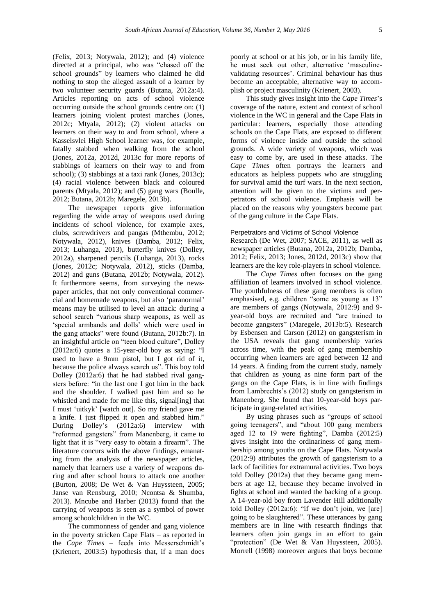(Felix, 2013; Notywala, 2012); and (4) violence directed at a principal, who was "chased off the school grounds" by learners who claimed he did nothing to stop the alleged assault of a learner by two volunteer security guards (Butana, 2012a:4). Articles reporting on acts of school violence occurring outside the school grounds centre on: (1) learners joining violent protest marches (Jones, 2012c; Mtyala, 2012); (2) violent attacks on learners on their way to and from school, where a Kasselsvlei High School learner was, for example, fatally stabbed when walking from the school (Jones, 2012a, 2012d, 2013c for more reports of stabbings of learners on their way to and from school); (3) stabbings at a taxi rank (Jones, 2013c); (4) racial violence between black and coloured parents (Mtyala, 2012); and (5) gang wars (Boulle, 2012; Butana, 2012b; Maregele, 2013b).

The newspaper reports give information regarding the wide array of weapons used during incidents of school violence, for example axes, clubs, screwdrivers and pangas (Mthembu, 2012; Notywala, 2012), knives (Damba, 2012; Felix, 2013; Luhanga, 2013), butterfly knives (Dolley, 2012a), sharpened pencils (Luhanga, 2013), rocks (Jones, 2012c; Notywala, 2012), sticks (Damba, 2012) and guns (Butana, 2012b; Notywala, 2012). It furthermore seems, from surveying the newspaper articles, that not only conventional commercial and homemade weapons, but also 'paranormal' means may be utilised to level an attack: during a school search "various sharp weapons, as well as 'special armbands and dolls' which were used in the gang attacks" were found (Butana, 2012b:7). In an insightful article on "teen blood culture", Dolley (2012a:6) quotes a 15-year-old boy as saying: "I used to have a 9mm pistol, but I got rid of it, because the police always search us". This boy told Dolley (2012a:6) that he had stabbed rival gangsters before: "in the last one I got him in the back and the shoulder. I walked past him and so he whistled and made for me like this, signal [ing] that I must 'uitkyk' [watch out]. So my friend gave me a knife. I just flipped it open and stabbed him." During Dolley's (2012a:6) interview with "reformed gangsters" from Manenberg, it came to light that it is "very easy to obtain a firearm". The literature concurs with the above findings, emanating from the analysis of the newspaper articles, namely that learners use a variety of weapons during and after school hours to attack one another (Burton, 2008; De Wet & Van Huyssteen, 2005; Janse van Rensburg, 2010; Ncontsa & Shumba, 2013). Mncube and Harber (2013) found that the carrying of weapons is seen as a symbol of power among schoolchildren in the WC.

The commonness of gender and gang violence in the poverty stricken Cape Flats – as reported in the *Cape Times* – feeds into Messerschmidt's (Krienert, 2003:5) hypothesis that, if a man does poorly at school or at his job, or in his family life, he must seek out other, alternative 'masculinevalidating resources'. Criminal behaviour has thus become an acceptable, alternative way to accomplish or project masculinity (Krienert, 2003).

This study gives insight into the *Cape Times*'s coverage of the nature, extent and context of school violence in the WC in general and the Cape Flats in particular: learners, especially those attending schools on the Cape Flats, are exposed to different forms of violence inside and outside the school grounds. A wide variety of weapons, which was easy to come by, are used in these attacks. The *Cape Times* often portrays the learners and educators as helpless puppets who are struggling for survival amid the turf wars. In the next section, attention will be given to the victims and perpetrators of school violence. Emphasis will be placed on the reasons why youngsters become part of the gang culture in the Cape Flats.

#### Perpetrators and Victims of School Violence

Research (De Wet, 2007; SACE, 2011), as well as newspaper articles (Butana, 2012a, 2012b; Damba, 2012; Felix, 2013; Jones, 2012d, 2013c) show that learners are the key role-players in school violence.

The *Cape Times* often focuses on the gang affiliation of learners involved in school violence. The youthfulness of these gang members is often emphasised, e.g. children "some as young as 13" are members of gangs (Notywala, 2012:9) and 9 year-old boys are recruited and "are trained to become gangsters" (Maregele, 2013b:5). Research by Esbensen and Carson (2012) on gangsterism in the USA reveals that gang membership varies across time, with the peak of gang membership occurring when learners are aged between 12 and 14 years. A finding from the current study, namely that children as young as nine form part of the gangs on the Cape Flats, is in line with findings from Lambrechts's (2012) study on gangsterism in Manenberg. She found that 10-year-old boys participate in gang-related activities.

By using phrases such as "groups of school going teenagers", and "about 100 gang members aged 12 to 19 were fighting", Damba (2012:5) gives insight into the ordinariness of gang membership among youths on the Cape Flats. Notywala (2012:9) attributes the growth of gangsterism to a lack of facilities for extramural activities. Two boys told Dolley (2012a) that they became gang members at age 12, because they became involved in fights at school and wanted the backing of a group. A 14-year-old boy from Lavender Hill additionally told Dolley (2012a:6): "if we don't join, we [are] going to be slaughtered". These utterances by gang members are in line with research findings that learners often join gangs in an effort to gain "protection" (De Wet & Van Huyssteen, 2005). Morrell (1998) moreover argues that boys become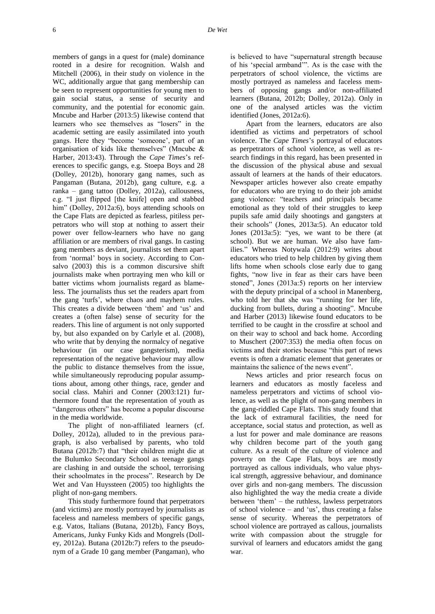members of gangs in a quest for (male) dominance rooted in a desire for recognition. Walsh and Mitchell (2006), in their study on violence in the WC, additionally argue that gang membership can be seen to represent opportunities for young men to gain social status, a sense of security and community, and the potential for economic gain. Mncube and Harber (2013:5) likewise contend that learners who see themselves as "losers" in the academic setting are easily assimilated into youth gangs. Here they "become 'someone', part of an organisation of kids like themselves" (Mncube & Harber, 2013:43). Through the *Cape Times*'s references to specific gangs, e.g. Stoepa Boys and 28 (Dolley, 2012b), honorary gang names, such as Pangaman (Butana, 2012b), gang culture, e.g. a ranka – gang tattoo (Dolley, 2012a), callousness, e.g. "I just flipped [the knife] open and stabbed him" (Dolley, 2012a:6), boys attending schools on the Cape Flats are depicted as fearless, pitiless perpetrators who will stop at nothing to assert their power over fellow-learners who have no gang affiliation or are members of rival gangs. In casting gang members as deviant, journalists set them apart from 'normal' boys in society. According to Consalvo (2003) this is a common discursive shift journalists make when portraying men who kill or batter victims whom journalists regard as blameless. The journalists thus set the readers apart from the gang 'turfs', where chaos and mayhem rules. This creates a divide between 'them' and 'us' and creates a (often false) sense of security for the readers. This line of argument is not only supported by, but also expanded on by Carlyle et al. (2008), who write that by denying the normalcy of negative behaviour (in our case gangsterism), media representation of the negative behaviour may allow the public to distance themselves from the issue, while simultaneously reproducing popular assumptions about, among other things, race, gender and social class. Mahiri and Conner (2003:121) furthermore found that the representation of youth as "dangerous others" has become a popular discourse in the media worldwide.

The plight of non-affiliated learners (cf. Dolley, 2012a), alluded to in the previous paragraph, is also verbalised by parents, who told Butana (2012b:7) that "their children might die at the Bulumko Secondary School as teenage gangs are clashing in and outside the school, terrorising their schoolmates in the process". Research by De Wet and Van Huyssteen (2005) too highlights the plight of non-gang members.

This study furthermore found that perpetrators (and victims) are mostly portrayed by journalists as faceless and nameless members of specific gangs, e.g. Vatos, Italians (Butana, 2012b), Fancy Boys, Americans, Junky Funky Kids and Mongrels (Dolley, 2012a). Butana (2012b:7) refers to the pseudonym of a Grade 10 gang member (Pangaman), who is believed to have "supernatural strength because of his 'special armband'". As is the case with the perpetrators of school violence, the victims are mostly portrayed as nameless and faceless members of opposing gangs and/or non-affiliated learners (Butana, 2012b; Dolley, 2012a). Only in one of the analysed articles was the victim identified (Jones, 2012a:6).

Apart from the learners, educators are also identified as victims and perpetrators of school violence. The *Cape Times*'s portrayal of educators as perpetrators of school violence, as well as research findings in this regard, has been presented in the discussion of the physical abuse and sexual assault of learners at the hands of their educators. Newspaper articles however also create empathy for educators who are trying to do their job amidst gang violence: "teachers and principals became emotional as they told of their struggles to keep pupils safe amid daily shootings and gangsters at their schools" (Jones, 2013a:5). An educator told Jones (2013a:5): "yes, we want to be there (at school). But we are human. We also have families." Whereas Notywala (2012:9) writes about educators who tried to help children by giving them lifts home when schools close early due to gang fights, "now live in fear as their cars have been stoned", Jones (2013a:5) reports on her interview with the deputy principal of a school in Manenberg, who told her that she was "running for her life, ducking from bullets, during a shooting". Mncube and Harber (2013) likewise found educators to be terrified to be caught in the crossfire at school and on their way to school and back home. According to Muschert (2007:353) the media often focus on victims and their stories because "this part of news events is often a dramatic element that generates or maintains the salience of the news event".

News articles and prior research focus on learners and educators as mostly faceless and nameless perpetrators and victims of school violence, as well as the plight of non-gang members in the gang-riddled Cape Flats. This study found that the lack of extramural facilities, the need for acceptance, social status and protection, as well as a lust for power and male dominance are reasons why children become part of the youth gang culture. As a result of the culture of violence and poverty on the Cape Flats, boys are mostly portrayed as callous individuals, who value physical strength, aggressive behaviour, and dominance over girls and non-gang members. The discussion also highlighted the way the media create a divide between 'them' – the ruthless, lawless perpetrators of school violence – and 'us', thus creating a false sense of security. Whereas the perpetrators of school violence are portrayed as callous, journalists write with compassion about the struggle for survival of learners and educators amidst the gang war.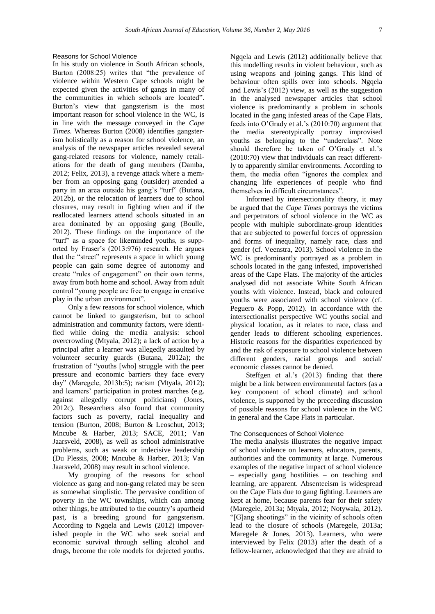#### Reasons for School Violence

In his study on violence in South African schools, Burton (2008:25) writes that "the prevalence of violence within Western Cape schools might be expected given the activities of gangs in many of the communities in which schools are located". Burton's view that gangsterism is the most important reason for school violence in the WC, is in line with the message conveyed in the *Cape Times*. Whereas Burton (2008) identifies gangsterism holistically as a reason for school violence, an analysis of the newspaper articles revealed several gang-related reasons for violence, namely retaliations for the death of gang members (Damba, 2012; Felix, 2013), a revenge attack where a member from an opposing gang (outsider) attended a party in an area outside his gang's "turf" (Butana, 2012b), or the relocation of learners due to school closures, may result in fighting when and if the reallocated learners attend schools situated in an area dominated by an opposing gang (Boulle, 2012). These findings on the importance of the "turf" as a space for likeminded youths, is supported by Fraser's (2013:976) research. He argues that the "street" represents a space in which young people can gain some degree of autonomy and create "rules of engagement" on their own terms, away from both home and school. Away from adult control "young people are free to engage in creative play in the urban environment".

Only a few reasons for school violence, which cannot be linked to gangsterism, but to school administration and community factors, were identified while doing the media analysis: school overcrowding (Mtyala, 2012); a lack of action by a principal after a learner was allegedly assaulted by volunteer security guards (Butana, 2012a); the frustration of "youths [who] struggle with the peer pressure and economic barriers they face every day" (Maregele, 2013b:5); racism (Mtyala, 2012); and learners' participation in protest marches (e.g. against allegedly corrupt politicians) (Jones, 2012c). Researchers also found that community factors such as poverty, racial inequality and tension (Burton, 2008; Burton & Leoschut, 2013; Mncube & Harber, 2013; SACE, 2011; Van Jaarsveld, 2008), as well as school administrative problems, such as weak or indecisive leadership (Du Plessis, 2008; Mncube & Harber, 2013; Van Jaarsveld, 2008) may result in school violence.

My grouping of the reasons for school violence as gang and non-gang related may be seen as somewhat simplistic. The pervasive condition of poverty in the WC townships, which can among other things, be attributed to the country's apartheid past, is a breeding ground for gangsterism. According to Ngqela and Lewis (2012) impoverished people in the WC who seek social and economic survival through selling alcohol and drugs, become the role models for dejected youths.

Ngqela and Lewis (2012) additionally believe that this modelling results in violent behaviour, such as using weapons and joining gangs. This kind of behaviour often spills over into schools. Ngqela and Lewis's (2012) view, as well as the suggestion in the analysed newspaper articles that school violence is predominantly a problem in schools located in the gang infested areas of the Cape Flats, feeds into O'Grady et al.'s (2010:70) argument that the media stereotypically portray improvised youths as belonging to the "underclass". Note should therefore be taken of O'Grady et al.'s (2010:70) view that individuals can react differently to apparently similar environments. According to them, the media often "ignores the complex and changing life experiences of people who find themselves in difficult circumstances".

Informed by intersectionality theory, it may be argued that the *Cape Times* portrays the victims and perpetrators of school violence in the WC as people with multiple subordinate-group identities that are subjected to powerful forces of oppression and forms of inequality, namely race, class and gender (cf. Veenstra, 2013). School violence in the WC is predominantly portrayed as a problem in schools located in the gang infested, impoverished areas of the Cape Flats. The majority of the articles analysed did not associate White South African youths with violence. Instead, black and coloured youths were associated with school violence (cf. Peguero & Popp, 2012). In accordance with the intersectionalist perspective WC youths social and physical location, as it relates to race, class and gender leads to different schooling experiences. Historic reasons for the disparities experienced by and the risk of exposure to school violence between different genders, racial groups and social/ economic classes cannot be denied.

Steffgen et al.'s (2013) finding that there might be a link between environmental factors (as a key component of school climate) and school violence, is supported by the preceeding discussion of possible reasons for school violence in the WC in general and the Cape Flats in particular.

## The Consequences of School Violence

The media analysis illustrates the negative impact of school violence on learners, educators, parents, authorities and the community at large. Numerous examples of the negative impact of school violence – especially gang hostilities – on teaching and learning, are apparent. Absenteeism is widespread on the Cape Flats due to gang fighting. Learners are kept at home, because parents fear for their safety (Maregele, 2013a; Mtyala, 2012; Notywala, 2012). "[G]ang shootings" in the vicinity of schools often lead to the closure of schools (Maregele, 2013a; Maregele & Jones, 2013). Learners, who were interviewed by Felix (2013) after the death of a fellow-learner, acknowledged that they are afraid to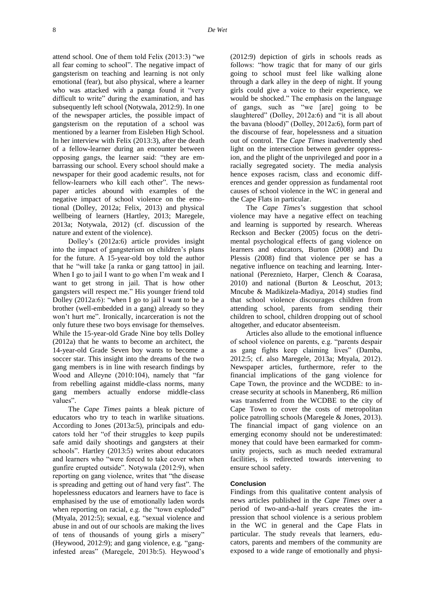attend school. One of them told Felix (2013:3) "we all fear coming to school". The negative impact of gangsterism on teaching and learning is not only emotional (fear), but also physical, where a learner who was attacked with a panga found it "very difficult to write" during the examination, and has subsequently left school (Notywala, 2012:9). In one of the newspaper articles, the possible impact of gangsterism on the reputation of a school was mentioned by a learner from Eisleben High School. In her interview with Felix (2013:3), after the death of a fellow-learner during an encounter between opposing gangs, the learner said: "they are embarrassing our school. Every school should make a newspaper for their good academic results, not for fellow-learners who kill each other". The newspaper articles abound with examples of the negative impact of school violence on the emotional (Dolley, 2012a; Felix, 2013) and physical wellbeing of learners (Hartley, 2013; Maregele, 2013a; Notywala, 2012) (cf. discussion of the nature and extent of the violence).

Dolley's (2012a:6) article provides insight into the impact of gangsterism on children's plans for the future. A 15-year-old boy told the author that he "will take [a ranka or gang tattoo] in jail. When I go to jail I want to go when I'm weak and I want to get strong in jail. That is how other gangsters will respect me." His younger friend told Dolley (2012a:6): "when I go to jail I want to be a brother (well-embedded in a gang) already so they won't hurt me". Ironically, incarceration is not the only future these two boys envisage for themselves. While the 15-year-old Grade Nine boy tells Dolley (2012a) that he wants to become an architect, the 14-year-old Grade Seven boy wants to become a soccer star. This insight into the dreams of the two gang members is in line with research findings by Wood and Alleyne (2010:104), namely that "far from rebelling against middle-class norms, many gang members actually endorse middle-class values".

The *Cape Times* paints a bleak picture of educators who try to teach in warlike situations. According to Jones (2013a:5), principals and educators told her "of their struggles to keep pupils safe amid daily shootings and gangsters at their schools". Hartley (2013:5) writes about educators and learners who "were forced to take cover when gunfire erupted outside". Notywala (2012:9), when reporting on gang violence, writes that "the disease is spreading and getting out of hand very fast". The hopelessness educators and learners have to face is emphasised by the use of emotionally laden words when reporting on racial, e.g. the "town exploded" (Mtyala, 2012:5); sexual, e.g. "sexual violence and abuse in and out of our schools are making the lives of tens of thousands of young girls a misery" (Heywood, 2012:9); and gang violence, e.g. "ganginfested areas" (Maregele, 2013b:5). Heywood's

(2012:9) depiction of girls in schools reads as follows: "how tragic that for many of our girls going to school must feel like walking alone through a dark alley in the deep of night. If young girls could give a voice to their experience, we would be shocked." The emphasis on the language of gangs, such as "we [are] going to be slaughtered" (Dolley, 2012a:6) and "it is all about the bavana (blood)" (Dolley, 2012a:6), form part of the discourse of fear, hopelessness and a situation out of control. The *Cape Times* inadvertently shed light on the intersection between gender oppression, and the plight of the unprivileged and poor in a racially segregated society. The media analysis hence exposes racism, class and economic differences and gender oppression as fundamental root causes of school violence in the WC in general and the Cape Flats in particular.

The *Cape Times*'s suggestion that school violence may have a negative effect on teaching and learning is supported by research. Whereas Reckson and Becker (2005) focus on the detrimental psychological effects of gang violence on learners and educators, Burton (2008) and Du Plessis (2008) find that violence per se has a negative influence on teaching and learning. International (Pereznieto, Harper, Clench & Coarasa, 2010) and national (Burton & Leoschut, 2013; Mncube & Madikizela-Madiya, 2014) studies find that school violence discourages children from attending school, parents from sending their children to school, children dropping out of school altogether, and educator absenteeism.

Articles also allude to the emotional influence of school violence on parents, e.g. "parents despair as gang fights keep claiming lives" (Damba, 2012:5; cf. also Maregele, 2013a; Mtyala, 2012). Newspaper articles, furthermore, refer to the financial implications of the gang violence for Cape Town, the province and the WCDBE: to increase security at schools in Manenberg, R6 million was transferred from the WCDBE to the city of Cape Town to cover the costs of metropolitan police patrolling schools (Maregele & Jones, 2013). The financial impact of gang violence on an emerging economy should not be underestimated: money that could have been earmarked for community projects, such as much needed extramural facilities, is redirected towards intervening to ensure school safety.

# **Conclusion**

Findings from this qualitative content analysis of news articles published in the *Cape Times* over a period of two-and-a-half years creates the impression that school violence is a serious problem in the WC in general and the Cape Flats in particular. The study reveals that learners, educators, parents and members of the community are exposed to a wide range of emotionally and physi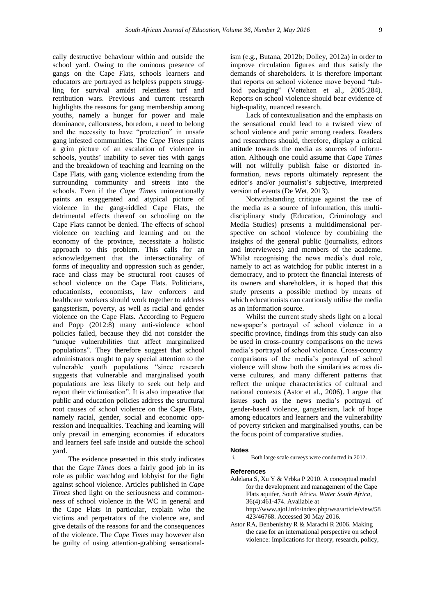cally destructive behaviour within and outside the school yard. Owing to the ominous presence of gangs on the Cape Flats, schools learners and educators are portrayed as helpless puppets struggling for survival amidst relentless turf and retribution wars. Previous and current research highlights the reasons for gang membership among youths, namely a hunger for power and male dominance, callousness, boredom, a need to belong and the necessity to have "protection" in unsafe gang infested communities. The *Cape Times* paints a grim picture of an escalation of violence in schools, youths' inability to sever ties with gangs and the breakdown of teaching and learning on the Cape Flats, with gang violence extending from the surrounding community and streets into the schools. Even if the *Cape Times* unintentionally paints an exaggerated and atypical picture of violence in the gang-riddled Cape Flats, the detrimental effects thereof on schooling on the Cape Flats cannot be denied. The effects of school violence on teaching and learning and on the economy of the province, necessitate a holistic approach to this problem. This calls for an acknowledgement that the intersectionality of forms of inequality and oppression such as gender, race and class may be structural root causes of school violence on the Cape Flats. Politicians, educationists, economists, law enforcers and healthcare workers should work together to address gangsterism, poverty, as well as racial and gender violence on the Cape Flats. According to Peguero and Popp (2012:8) many anti-violence school policies failed, because they did not consider the "unique vulnerabilities that affect marginalized populations". They therefore suggest that school administrators ought to pay special attention to the vulnerable youth populations "since research suggests that vulnerable and marginalised youth populations are less likely to seek out help and report their victimisation". It is also imperative that public and education policies address the structural root causes of school violence on the Cape Flats, namely racial, gender, social and economic oppression and inequalities. Teaching and learning will only prevail in emerging economies if educators and learners feel safe inside and outside the school yard.

The evidence presented in this study indicates that the *Cape Times* does a fairly good job in its role as public watchdog and lobbyist for the fight against school violence. Articles published in *Cape Times* shed light on the seriousness and commonness of school violence in the WC in general and the Cape Flats in particular, explain who the victims and perpetrators of the violence are, and give details of the reasons for and the consequences of the violence. The *Cape Times* may however also be guilty of using attention-grabbing sensationalism (e.g., Butana, 2012b; Dolley, 2012a) in order to improve circulation figures and thus satisfy the demands of shareholders. It is therefore important that reports on school violence move beyond "tabloid packaging" (Vettehen et al., 2005:284). Reports on school violence should bear evidence of high-quality, nuanced research.

Lack of contextualisation and the emphasis on the sensational could lead to a twisted view of school violence and panic among readers. Readers and researchers should, therefore, display a critical attitude towards the media as sources of information. Although one could assume that *Cape Times* will not wilfully publish false or distorted information, news reports ultimately represent the editor's and/or journalist's subjective, interpreted version of events (De Wet, 2013).

Notwithstanding critique against the use of the media as a source of information, this multidisciplinary study (Education, Criminology and Media Studies) presents a multidimensional perspective on school violence by combining the insights of the general public (journalists, editors and interviewees) and members of the academe. Whilst recognising the news media's dual role, namely to act as watchdog for public interest in a democracy, and to protect the financial interests of its owners and shareholders, it is hoped that this study presents a possible method by means of which educationists can cautiously utilise the media as an information source.

Whilst the current study sheds light on a local newspaper's portrayal of school violence in a specific province, findings from this study can also be used in cross-country comparisons on the news media's portrayal of school violence. Cross-country comparisons of the media's portrayal of school violence will show both the similarities across diverse cultures, and many different patterns that reflect the unique characteristics of cultural and national contexts (Astor et al., 2006). I argue that issues such as the news media's portrayal of gender-based violence, gangsterism, lack of hope among educators and learners and the vulnerability of poverty stricken and marginalised youths, can be the focus point of comparative studies.

#### **Notes**

Both large scale surveys were conducted in 2012.

#### **References**

- Adelana S, Xu Y & Vrbka P 2010. A conceptual model for the development and management of the Cape Flats aquifer, South Africa. *Water South Africa*, 36(4):461-474. Available at [http://www.ajol.info/index.php/wsa/article/view/58](http://www.ajol.info/index.php/wsa/article/view/58423/46768) [423/46768.](http://www.ajol.info/index.php/wsa/article/view/58423/46768) Accessed 30 May 2016.
- Astor RA, Benbenishty R & Marachi R 2006. Making the case for an international perspective on school violence: Implications for theory, research, policy,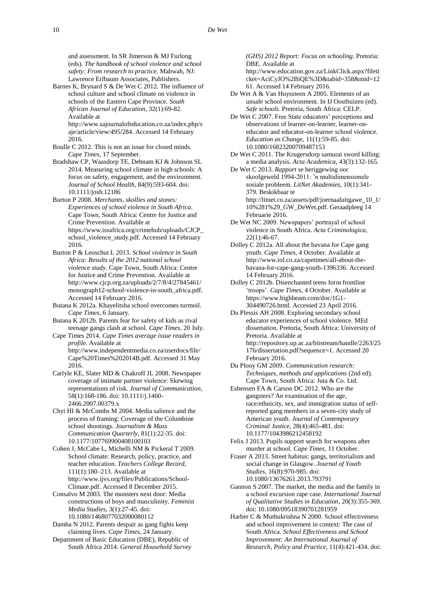and assessment. In SR Jimerson & MJ Furlong (eds). *The handbook of school violence and school safety: From research to practice*. Mahwah, NJ: Lawrence Erlbaum Associates, Publishers.

Barnes K, Brynard S & De Wet C 2012. The influence of school culture and school climate on violence in schools of the Eastern Cape Province. *South African Journal of Education*, 32(1):69-82. Available at [http://www.sajournalofeducation.co.za/index.php/s](http://www.sajournalofeducation.co.za/index.php/saje/article/view/495/284)

[aje/article/view/495/284.](http://www.sajournalofeducation.co.za/index.php/saje/article/view/495/284) Accessed 14 February 2016.

Boulle C 2012. This is not an issue for closed minds. *Cape Times*, 17 September.

Bradshaw CP, Waasdorp TE, Debnam KJ & Johnson SL 2014. Measuring school climate in high schools: A focus on safety, engagement, and the environment. *Journal of School Health*, 84(9):593-604[. doi:](http://onlinelibrary.wiley.com/doi/10.1111/josh.12186/abstract?userIsAuthenticated=false&deniedAccessCustomisedMessage=)  [10.1111/josh.12186](http://onlinelibrary.wiley.com/doi/10.1111/josh.12186/abstract?userIsAuthenticated=false&deniedAccessCustomisedMessage=)

Burton P 2008. *Merchants, skollies and stones: Experiences of school violence in South Africa*. Cape Town, South Africa: Centre for Justice and Crime Prevention. Available at [https://www.issafrica.org/crimehub/uploads/CJCP\\_](https://www.issafrica.org/crimehub/uploads/CJCP_school_violence_study.pdf) [school\\_violence\\_study.pdf.](https://www.issafrica.org/crimehub/uploads/CJCP_school_violence_study.pdf) Accessed 14 February 2016.

Burton P & Leoschut L 2013. *School violence in South Africa: Results of the 2012 national school violence study*. Cape Town, South Africa: Centre for Justice and Crime Prevention. Available at [http://www.cjcp.org.za/uploads/2/7/8/4/27845461/](http://www.cjcp.org.za/uploads/2/7/8/4/27845461/monograph12-school-violence-in-south_africa.pdf) [monograph12-school-violence-in-south\\_africa.pdf.](http://www.cjcp.org.za/uploads/2/7/8/4/27845461/monograph12-school-violence-in-south_africa.pdf) Accessed 14 February 2016.

Butana K 2012a. Khayelitsha school overcomes turmoil. *Cape Times*, 6 January.

- Butana K 2012b. Parents fear for safety of kids as rival teenage gangs clash at school*. Cape Times*, 20 July.
- Cape Times 2014. *Cape Times average issue readers in profile*. Available at [http://www.independentmedia.co.za/userdocs/file/](http://www.independentmedia.co.za/userdocs/file/Cape%20Times%202014B.pdf) [Cape%20Times%202014B.pdf.](http://www.independentmedia.co.za/userdocs/file/Cape%20Times%202014B.pdf) Accessed 31 May 2016.
- Carlyle KE, Slater MD & Chakroff JL 2008. Newspaper coverage of intimate partner violence: Skewing representations of risk. *Journal of Communication*, 58(1):168-186. [doi: 10.1111/j.1460-](http://onlinelibrary.wiley.com/doi/10.1111/j.1460-2466.2007.00379.x/abstract?userIsAuthenticated=false&deniedAccessCustomisedMessage=) [2466.2007.00379.x](http://onlinelibrary.wiley.com/doi/10.1111/j.1460-2466.2007.00379.x/abstract?userIsAuthenticated=false&deniedAccessCustomisedMessage=)
- Chyi HI & McCombs M 2004. Media salience and the process of framing: Coverage of the Columbine school shootings. *Journalism & Mass Communication Quarterly*, 81(1):22-35[. doi:](http://jmq.sagepub.com/content/81/1/22.short)  [10.1177/107769900408100103](http://jmq.sagepub.com/content/81/1/22.short)

Cohen J, McCabe L, Michelli NM & Pickeral T 2009. School climate: Research, policy, practice, and teacher education. *Teachers College Record*, 111(1):180–213. Available at [http://www.ijvs.org/files/Publications/School-](http://www.ijvs.org/files/Publications/School-Climate.pdf)[Climate.pdf.](http://www.ijvs.org/files/Publications/School-Climate.pdf) Accessed 8 December 2015.

Consalvo M 2003. The monsters next door: Media constructions of boys and masculinity. *Feminist Media Studies*, 3(1):27-45. [doi:](http://www.tandfonline.com/doi/abs/10.1080/1468077032000080112?journalCode=rfms20)  [10.1080/1468077032000080112](http://www.tandfonline.com/doi/abs/10.1080/1468077032000080112?journalCode=rfms20)

Damba N 2012. Parents despair as gang fights keep claiming lives. *Cape Times*, 24 January.

Department of Basic Education (DBE), Republic of South Africa 2014. *General Household Survey*

*(GHS) 2012 Report: Focus on schooling*. Pretoria: DBE. Available at

[http://www.education.gov.za/LinkClick.aspx?fileti](http://www.education.gov.za/LinkClick.aspx?fileticket=AciCyJO%2BiQE%3D&tabid=358&mid=1261) [cket=AciCyJO%2BiQE%3D&tabid=358&mid=12](http://www.education.gov.za/LinkClick.aspx?fileticket=AciCyJO%2BiQE%3D&tabid=358&mid=1261) [61.](http://www.education.gov.za/LinkClick.aspx?fileticket=AciCyJO%2BiQE%3D&tabid=358&mid=1261) Accessed 14 February 2016.

- De Wet A & Van Huyssteen A 2005. Elements of an unsafe school environment. In IJ Oosthuizen (ed). *Safe schools*. Pretoria, South Africa: CELP.
- De Wet C 2007. Free State educators' perceptions and observations of learner-on-learner, learner-oneducator and educator-on-learner school violence. *Education as Change*, 11(1):59-85. [doi:](http://www.tandfonline.com/doi/abs/10.1080/16823200709487153)  [10.1080/16823200709487153](http://www.tandfonline.com/doi/abs/10.1080/16823200709487153)
- De Wet C 2011. The Krugersdorp samurai sword killing: a media analysis. *Acta Academica*, 43(3):132-165.
- De Wet C 2013. *Rapport* se beriggewing oor skoolgeweld 1994-2011: 'n multidimensionele sosiale probleem. *LitNet Akademies*, 10(1):341- 379. Beskikbaar te [http://litnet.co.za/assets/pdf/joernaaluitgawe\\_10\\_1/](http://litnet.co.za/assets/pdf/joernaaluitgawe_10_1/10%281%29_GW_DeWet.pdf) [10%281%29\\_GW\\_DeWet.pdf.](http://litnet.co.za/assets/pdf/joernaaluitgawe_10_1/10%281%29_GW_DeWet.pdf) Geraadpleeg 14 Februarie 2016.
- De Wet NC 2009. Newspapers' portrayal of school violence in South Africa. *Acta Criminologica*, 22(1):46-67.

Dolley C 2012a. All about the bavana for Cape gang youth. *Cape Times*, 4 October. Available at [http://www.iol.co.za/capetimes/all-about-the](http://www.iol.co.za/capetimes/all-about-the-bavana-for-cape-gang-youth-1396336)[bavana-for-cape-gang-youth-1396336.](http://www.iol.co.za/capetimes/all-about-the-bavana-for-cape-gang-youth-1396336) Accessed 14 February 2016.

Dolley C 2012b. Disenchanted teens form frontline 'troops'. *Cape Times*, 4 October. Available at [https://www.highbeam.com/doc/1G1-](https://www.highbeam.com/doc/1G1-304490726.html) [304490726.html.](https://www.highbeam.com/doc/1G1-304490726.html) Accessed 23 April 2016.

Du Plessis AH 2008. Exploring secondary school educator experiences of school violence. MEd dissertation. Pretoria, South Africa: University of Pretoria. Available at [http://repository.up.ac.za/bitstream/handle/2263/25](http://repository.up.ac.za/bitstream/handle/2263/25176/dissertation.pdf?sequence=1) [176/dissertation.pdf?sequence=1.](http://repository.up.ac.za/bitstream/handle/2263/25176/dissertation.pdf?sequence=1) Accessed 20

February 2016. Du Plooy GM 2009. *Communication research: Techniques, methods and applications* (2nd ed). Cape Town, South Africa: Juta & Co. Ltd.

Esbensen FA & Carson DC 2012. Who are the gangsters? An examination of the age, race/ethnicity, sex, and immigration status of selfreported gang members in a seven-city study of American youth. *Journal of Contemporary Criminal Justice*, 28(4):465-481. [doi:](http://ccj.sagepub.com/content/28/4/465)  [10.1177/1043986212458192](http://ccj.sagepub.com/content/28/4/465)

- Felix J 2013. Pupils support search for weapons after murder at school*. Cape Times*, 11 October.
- Fraser A 2013. Street habitus: gangs, territorialism and social change in Glasgow. *Journal of Youth Studies*, 16(8):970-985. [doi:](http://www.tandfonline.com/doi/abs/10.1080/13676261.2013.793791)  [10.1080/13676261.2013.793791](http://www.tandfonline.com/doi/abs/10.1080/13676261.2013.793791)
- Gannon S 2007. The market, the media and the family in a school excursion rape case. *International Journal of Qualitative Studies in Education*, 20(3):355-369. [doi: 10.1080/09518390701281959](http://www.tandfonline.com/doi/abs/10.1080/09518390701281959)
- Harber C & Muthukrishna N 2000. School effectiveness and school improvement in context: The case of South Africa. *School Effectiveness and School Improvement: An International Journal of Research, Policy and Practice*, 11(4):421-434[. doi:](http://www.tandfonline.com/doi/abs/10.1076/sesi.11.4.421.3559)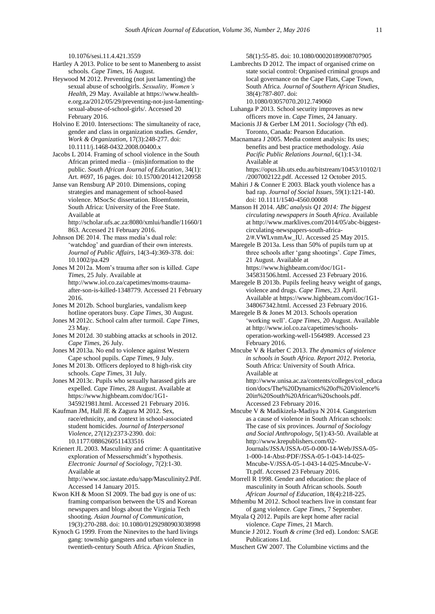[10.1076/sesi.11.4.421.3559](http://www.tandfonline.com/doi/abs/10.1076/sesi.11.4.421.3559)

Hartley A 2013. Police to be sent to Manenberg to assist schools*. Cape Times*, 16 August.

Heywood M 2012. Preventing (not just lamenting) the sexual abuse of schoolgirls. *Sexuality, Women's Health*, 29 May. Available a[t https://www.health](https://www.health-e.org.za/2012/05/29/preventing-not-just-lamenting-sexual-abuse-of-school-girls/)[e.org.za/2012/05/29/preventing-not-just-lamenting](https://www.health-e.org.za/2012/05/29/preventing-not-just-lamenting-sexual-abuse-of-school-girls/)[sexual-abuse-of-school-girls/.](https://www.health-e.org.za/2012/05/29/preventing-not-just-lamenting-sexual-abuse-of-school-girls/) Accessed 20 February 2016.

Holvino E 2010. Intersections: The simultaneity of race, gender and class in organization studies. *Gender, Work & Organization*, 17(3):248-277. [doi:](http://onlinelibrary.wiley.com/doi/10.1111/j.1468-0432.2008.00400.x/abstract?userIsAuthenticated=false&deniedAccessCustomisedMessage=)  [10.1111/j.1468-0432.2008.00400.x](http://onlinelibrary.wiley.com/doi/10.1111/j.1468-0432.2008.00400.x/abstract?userIsAuthenticated=false&deniedAccessCustomisedMessage=)

Jacobs L 2014. Framing of school violence in the South African printed media – (mis)information to the public. *South African Journal of Education*, 34(1): Art. #697, 16 pages. [doi: 10.15700/201412120958](http://www.sajournalofeducation.co.za/index.php/saje/article/view/697/407)

Janse van Rensburg AP 2010. Dimensions, coping strategies and management of school-based violence. MSocSc dissertation. Bloemfontein, South Africa: University of the Free State. Available at

[http://scholar.ufs.ac.za:8080/xmlui/handle/11660/1](http://scholar.ufs.ac.za:8080/xmlui/handle/11660/1863) [863.](http://scholar.ufs.ac.za:8080/xmlui/handle/11660/1863) Accessed 21 February 2016.

Johnson DE 2014. The mass media's dual role: 'watchdog' and guardian of their own interests. *Journal of Public Affairs*, 14(3-4):369-378. [doi:](http://onlinelibrary.wiley.com/doi/10.1002/pa.429/abstract;jsessionid=676AD3B018B62D32F39049208B700051.f02t04?userIsAuthenticated=false&deniedAccessCustomisedMessage=)  [10.1002/pa.429](http://onlinelibrary.wiley.com/doi/10.1002/pa.429/abstract;jsessionid=676AD3B018B62D32F39049208B700051.f02t04?userIsAuthenticated=false&deniedAccessCustomisedMessage=)

Jones M 2012a. Mom's trauma after son is killed. *Cape Times*, 25 July. Available at [http://www.iol.co.za/capetimes/moms-trauma](http://www.iol.co.za/capetimes/moms-trauma-after-son-is-killed-1348779)[after-son-is-killed-1348779.](http://www.iol.co.za/capetimes/moms-trauma-after-son-is-killed-1348779) Accessed 21 February 2016.

- Jones M 2012b. School burglaries, vandalism keep hotline operators busy. *Cape Times*, 30 August.
- Jones M 2012c. School calm after turmoil. *Cape Times*, 23 May.
- Jones M 2012d. 30 stabbing attacks at schools in 2012. *Cape Times*, 26 July.
- Jones M 2013a. No end to violence against Western Cape school pupils. *Cape Times*, 9 July.
- Jones M 2013b. Officers deployed to 8 high-risk city schools. *Cape Times*, 31 July.
- Jones M 2013c. Pupils who sexually harassed girls are expelled. *Cape Times*, 28 August. Available at [https://www.highbeam.com/doc/1G1-](https://www.highbeam.com/doc/1G1-345921981.html) [345921981.html.](https://www.highbeam.com/doc/1G1-345921981.html) Accessed 21 February 2016.
- Kaufman JM, Hall JE & Zagura M 2012. Sex, race/ethnicity, and context in school-associated student homicides. *Journal of Interpersonal Violence*, 27(12):2373-2390. [doi:](http://jiv.sagepub.com/content/27/12/2373)  [10.1177/0886260511433516](http://jiv.sagepub.com/content/27/12/2373)

Krienert JL 2003. Masculinity and crime: A quantitative exploration of Messerschmidt's hypothesis. *Electronic Journal of Sociology*, 7(2):1-30. Available at [http://www.soc.iastate.edu/sapp/Masculinity2.Pdf.](http://www.soc.iastate.edu/sapp/Masculinity2.Pdf)

Accessed 14 January 2015.

- Kwon KH & Moon SI 2009. The bad guy is one of us: framing comparison between the US and Korean newspapers and blogs about the Virginia Tech shooting. *Asian Journal of Communication*, 19(3):270-288. [doi: 10.1080/01292980903038998](http://www.tandfonline.com/doi/abs/10.1080/01292980903038998)
- Kynoch G 1999. From the Ninevites to the hard livings gang: township gangsters and urban violence in twentieth-century South Africa. *African Studies*,

58(1):55-85. [doi: 10.1080/00020189908707905](http://www.tandfonline.com/doi/abs/10.1080/00020189908707905?journalCode=cast20)

Lambrechts D 2012. The impact of organised crime on state social control: Organised criminal groups and local governance on the Cape Flats, Cape Town, South Africa. *Journal of Southern African Studies*, 38(4):787-807. [doi:](http://www.tandfonline.com/doi/abs/10.1080/03057070.2012.749060) 

[10.1080/03057070.2012.749060](http://www.tandfonline.com/doi/abs/10.1080/03057070.2012.749060)

- Luhanga P 2013. School security improves as new officers move in. *Cape Times*, 24 January.
- Macionis JJ & Gerber LM 2011. *Sociology* (7th ed). Toronto, Canada: Pearson Education.
- Macnamara J 2005. Media content analysis: Its uses; benefits and best practice methodology. *Asia Pacific Public Relations Journal*, 6(1):1-34. Available at

[https://opus.lib.uts.edu.au/bitstream/10453/10102/1](https://opus.lib.uts.edu.au/bitstream/10453/10102/1/2007002122.pdf) [/2007002122.pdf.](https://opus.lib.uts.edu.au/bitstream/10453/10102/1/2007002122.pdf) Accessed 12 October 2015.

- Mahiri J & Conner E 2003. Black youth violence has a bad rap. *Journal of Social Issues*, 59(1):121-140. [doi: 10.1111/1540-4560.00008](http://onlinelibrary.wiley.com/doi/10.1111/1540-4560.00008/abstract;jsessionid=C8280AE42012587F06E610D31418F1EB.f03t02?userIsAuthenticated=false&deniedAccessCustomisedMessage=)
- Manson H 2014. *ABC analysis Q1 2014: The biggest circulating newspapers in South Africa*. Available at [http://www.marklives.com/2014/05/abc-biggest](http://www.marklives.com/2014/05/abc-biggest-circulating-newspapers-south-africa-2/%23.VWLvnmAw_IU)[circulating-newspapers-south-africa-](http://www.marklives.com/2014/05/abc-biggest-circulating-newspapers-south-africa-2/%23.VWLvnmAw_IU)[2/#.VWLvnmAw\\_IU.](http://www.marklives.com/2014/05/abc-biggest-circulating-newspapers-south-africa-2/%23.VWLvnmAw_IU) Accessed 25 May 2015.
- Maregele B 2013a. Less than 50% of pupils turn up at three schools after 'gang shootings'. *Cape Times*, 21 August. Available at [https://www.highbeam.com/doc/1G1-](https://www.highbeam.com/doc/1G1-345831506.html) [345831506.html.](https://www.highbeam.com/doc/1G1-345831506.html) Accessed 23 February 2016.
- Maregele B 2013b. Pupils feeling heavy weight of gangs, violence and drugs. *Cape Times*, 23 April. Available a[t https://www.highbeam.com/doc/1G1-](https://www.highbeam.com/doc/1G1-348067342.html) [348067342.html.](https://www.highbeam.com/doc/1G1-348067342.html) Accessed 23 February 2016.
- Maregele B & Jones M 2013. Schools operation 'working well'. *Cape Times*, 20 August. Available a[t http://www.iol.co.za/capetimes/schools](http://www.iol.co.za/capetimes/schools-operation-working-well-1564989)[operation-working-well-1564989.](http://www.iol.co.za/capetimes/schools-operation-working-well-1564989) Accessed 23 February 2016.
- Mncube V & Harber C 2013. *The dynamics of violence in schools in South Africa. Report 2012*. Pretoria, South Africa: University of South Africa. Available at [http://www.unisa.ac.za/contents/colleges/col\\_educa](http://www.unisa.ac.za/contents/colleges/col_education/docs/The%20Dynamics%20of%20Violence%20in%20South%20African%20schools.pdf) [tion/docs/The%20Dynamics%20of%20Violence%](http://www.unisa.ac.za/contents/colleges/col_education/docs/The%20Dynamics%20of%20Violence%20in%20South%20African%20schools.pdf)

[20in%20South%20African%20schools.pdf.](http://www.unisa.ac.za/contents/colleges/col_education/docs/The%20Dynamics%20of%20Violence%20in%20South%20African%20schools.pdf) Accessed 23 February 2016.

- Mncube V & Madikizela-Madiya N 2014. Gangsterism as a cause of violence in South African schools: The case of six provinces. *Journal of Sociology and Social Anthropology*, 5(1):43-50. Available at [http://www.krepublishers.com/02-](http://www.krepublishers.com/02-Journals/JSSA/JSSA-05-0-000-14-Web/JSSA-05-1-000-14-Abst-PDF/JSSA-05-1-043-14-025-Mncube-V/JSSA-05-1-043-14-025-Mncube-V-Tt.pdf) [Journals/JSSA/JSSA-05-0-000-14-Web/JSSA-05-](http://www.krepublishers.com/02-Journals/JSSA/JSSA-05-0-000-14-Web/JSSA-05-1-000-14-Abst-PDF/JSSA-05-1-043-14-025-Mncube-V/JSSA-05-1-043-14-025-Mncube-V-Tt.pdf) [1-000-14-Abst-PDF/JSSA-05-1-043-14-025-](http://www.krepublishers.com/02-Journals/JSSA/JSSA-05-0-000-14-Web/JSSA-05-1-000-14-Abst-PDF/JSSA-05-1-043-14-025-Mncube-V/JSSA-05-1-043-14-025-Mncube-V-Tt.pdf) [Mncube-V/JSSA-05-1-043-14-025-Mncube-V-](http://www.krepublishers.com/02-Journals/JSSA/JSSA-05-0-000-14-Web/JSSA-05-1-000-14-Abst-PDF/JSSA-05-1-043-14-025-Mncube-V/JSSA-05-1-043-14-025-Mncube-V-Tt.pdf)[Tt.pdf.](http://www.krepublishers.com/02-Journals/JSSA/JSSA-05-0-000-14-Web/JSSA-05-1-000-14-Abst-PDF/JSSA-05-1-043-14-025-Mncube-V/JSSA-05-1-043-14-025-Mncube-V-Tt.pdf) Accessed 23 February 2016.
- Morrell R 1998. Gender and education: the place of masculinity in South African schools. *South African Journal of Education*, 18(4):218-225.
- Mthembu M 2012. School teachers live in constant fear of gang violence. *Cape Times*, 7 September.
- Mtyala Q 2012. Pupils are kept home after racial violence. *Cape Times*, 21 March.
- Muncie J 2012. *Youth & crime* (3rd ed). London: SAGE Publications Ltd.
- Muschert GW 2007. The Columbine victims and the